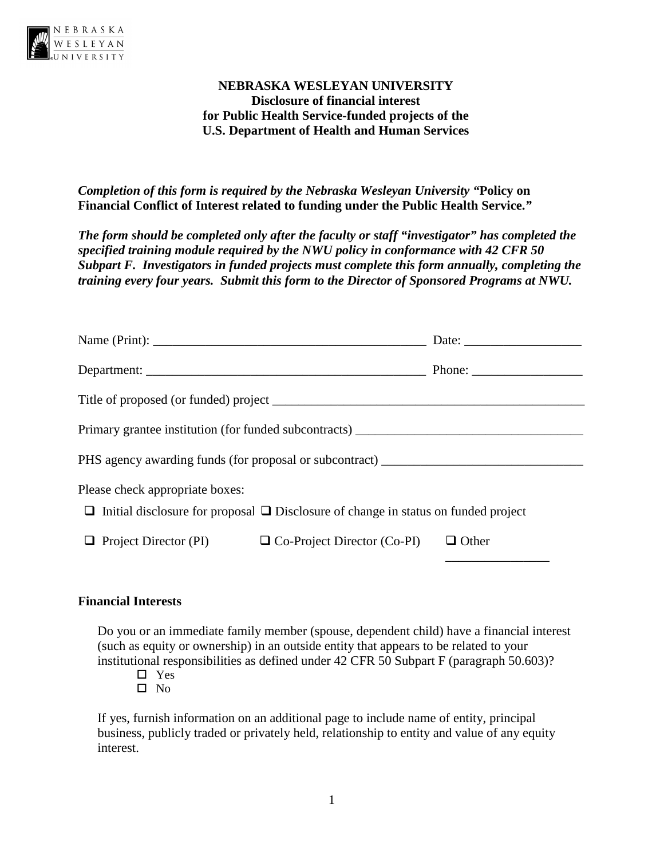

# **NEBRASKA WESLEYAN UNIVERSITY Disclosure of financial interest for Public Health Service-funded projects of the U.S. Department of Health and Human Services**

*Completion of this form is required by the Nebraska Wesleyan University "***Policy on Financial Conflict of Interest related to funding under the Public Health Service.***"* 

*The form should be completed only after the faculty or staff "investigator" has completed the specified training module required by the NWU policy in conformance with 42 CFR 50 Subpart F. Investigators in funded projects must complete this form annually, completing the training every four years. Submit this form to the Director of Sponsored Programs at NWU.* 

|                                                                                                                                                                   |  | Phone: $\frac{1}{\sqrt{1-\frac{1}{2}}}\frac{1}{\sqrt{1-\frac{1}{2}}}\frac{1}{\sqrt{1-\frac{1}{2}}}\frac{1}{\sqrt{1-\frac{1}{2}}}\frac{1}{\sqrt{1-\frac{1}{2}}}\frac{1}{\sqrt{1-\frac{1}{2}}}\frac{1}{\sqrt{1-\frac{1}{2}}}\frac{1}{\sqrt{1-\frac{1}{2}}}\frac{1}{\sqrt{1-\frac{1}{2}}}\frac{1}{\sqrt{1-\frac{1}{2}}}\frac{1}{\sqrt{1-\frac{1}{2}}}\frac{1}{\sqrt{1-\frac{1}{2}}}\frac{1}{\sqrt{1-\frac{1}{2}}}\frac{1}{$ |  |
|-------------------------------------------------------------------------------------------------------------------------------------------------------------------|--|--------------------------------------------------------------------------------------------------------------------------------------------------------------------------------------------------------------------------------------------------------------------------------------------------------------------------------------------------------------------------------------------------------------------------|--|
|                                                                                                                                                                   |  |                                                                                                                                                                                                                                                                                                                                                                                                                          |  |
|                                                                                                                                                                   |  |                                                                                                                                                                                                                                                                                                                                                                                                                          |  |
| PHS agency awarding funds (for proposal or subcontract) _________________________                                                                                 |  |                                                                                                                                                                                                                                                                                                                                                                                                                          |  |
| Please check appropriate boxes:<br>$\Box$ Initial disclosure for proposal $\Box$ Disclosure of change in status on funded project                                 |  |                                                                                                                                                                                                                                                                                                                                                                                                                          |  |
|                                                                                                                                                                   |  |                                                                                                                                                                                                                                                                                                                                                                                                                          |  |
| Primary grantee institution (for funded subcontracts) ___________________________<br>$\Box$ Project Director (PI) $\Box$ Co-Project Director (Co-PI) $\Box$ Other |  |                                                                                                                                                                                                                                                                                                                                                                                                                          |  |

#### **Financial Interests**

Do you or an immediate family member (spouse, dependent child) have a financial interest (such as equity or ownership) in an outside entity that appears to be related to your institutional responsibilities as defined under 42 CFR 50 Subpart F (paragraph 50.603)?

- Yes
- $\square$  No

If yes, furnish information on an additional page to include name of entity, principal business, publicly traded or privately held, relationship to entity and value of any equity interest.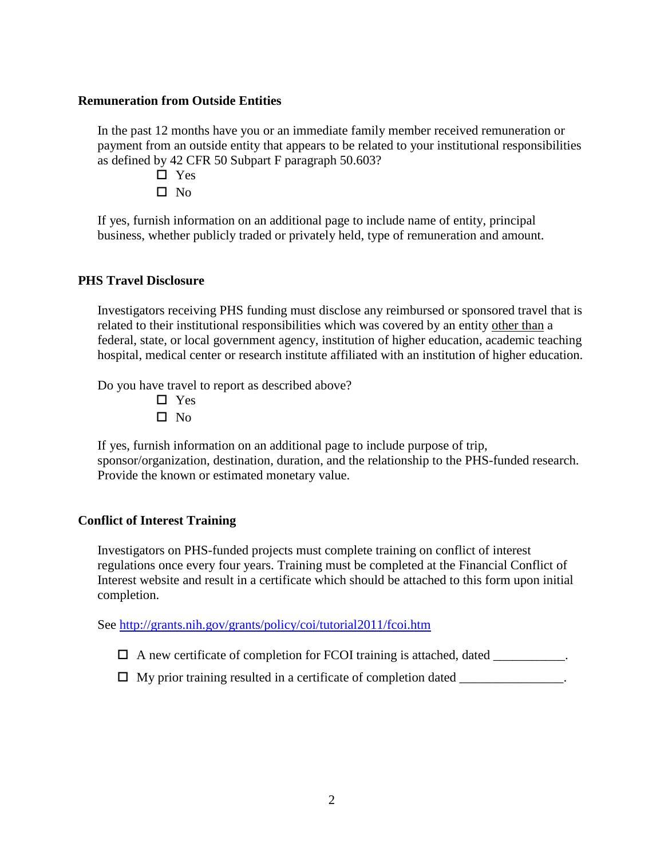#### **Remuneration from Outside Entities**

In the past 12 months have you or an immediate family member received remuneration or payment from an outside entity that appears to be related to your institutional responsibilities as defined by 42 CFR 50 Subpart F paragraph 50.603?

- □ Yes
- $\square$  No

If yes, furnish information on an additional page to include name of entity, principal business, whether publicly traded or privately held, type of remuneration and amount.

# **PHS Travel Disclosure**

Investigators receiving PHS funding must disclose any reimbursed or sponsored travel that is related to their institutional responsibilities which was covered by an entity other than a federal, state, or local government agency, institution of higher education, academic teaching hospital, medical center or research institute affiliated with an institution of higher education.

Do you have travel to report as described above?

- □ Yes
- $\square$  No

If yes, furnish information on an additional page to include purpose of trip, sponsor/organization, destination, duration, and the relationship to the PHS-funded research. Provide the known or estimated monetary value.

# **Conflict of Interest Training**

Investigators on PHS-funded projects must complete training on conflict of interest regulations once every four years. Training must be completed at the Financial Conflict of Interest website and result in a certificate which should be attached to this form upon initial completion.

See<http://grants.nih.gov/grants/policy/coi/tutorial2011/fcoi.htm>

- $\Box$  A new certificate of completion for FCOI training is attached, dated \_\_\_\_\_\_\_\_\_\_\_.
- $\Box$  My prior training resulted in a certificate of completion dated \_\_\_\_\_\_\_\_\_\_\_\_\_\_.